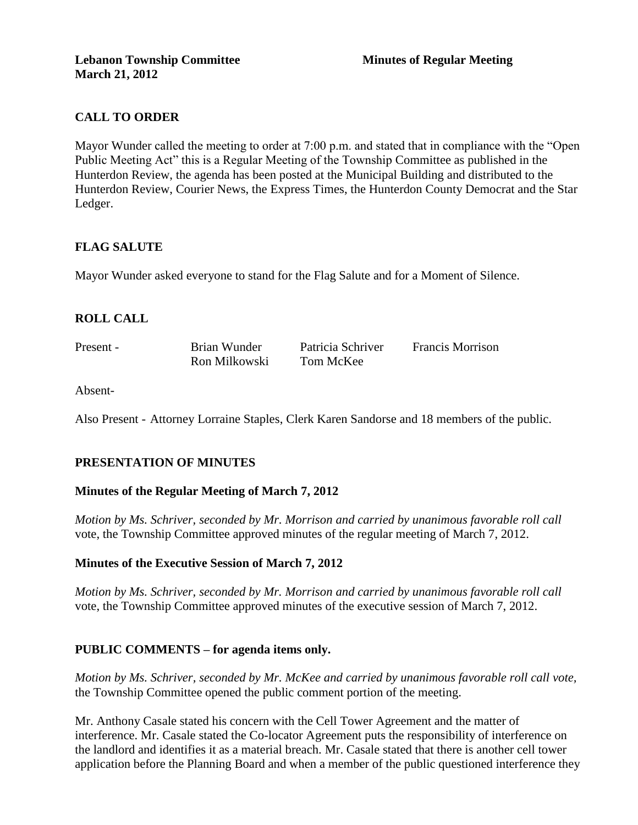# **CALL TO ORDER**

Mayor Wunder called the meeting to order at 7:00 p.m. and stated that in compliance with the "Open Public Meeting Act" this is a Regular Meeting of the Township Committee as published in the Hunterdon Review, the agenda has been posted at the Municipal Building and distributed to the Hunterdon Review, Courier News, the Express Times, the Hunterdon County Democrat and the Star Ledger.

# **FLAG SALUTE**

Mayor Wunder asked everyone to stand for the Flag Salute and for a Moment of Silence.

# **ROLL CALL**

Present - Brian Wunder Patricia Schriver Francis Morrison Ron Milkowski Tom McKee

Absent-

Also Present - Attorney Lorraine Staples, Clerk Karen Sandorse and 18 members of the public.

# **PRESENTATION OF MINUTES**

#### **Minutes of the Regular Meeting of March 7, 2012**

*Motion by Ms. Schriver, seconded by Mr. Morrison and carried by unanimous favorable roll call*  vote, the Township Committee approved minutes of the regular meeting of March 7, 2012.

#### **Minutes of the Executive Session of March 7, 2012**

*Motion by Ms. Schriver, seconded by Mr. Morrison and carried by unanimous favorable roll call*  vote, the Township Committee approved minutes of the executive session of March 7, 2012.

#### **PUBLIC COMMENTS – for agenda items only.**

*Motion by Ms. Schriver, seconded by Mr. McKee and carried by unanimous favorable roll call vote,* the Township Committee opened the public comment portion of the meeting.

Mr. Anthony Casale stated his concern with the Cell Tower Agreement and the matter of interference. Mr. Casale stated the Co-locator Agreement puts the responsibility of interference on the landlord and identifies it as a material breach. Mr. Casale stated that there is another cell tower application before the Planning Board and when a member of the public questioned interference they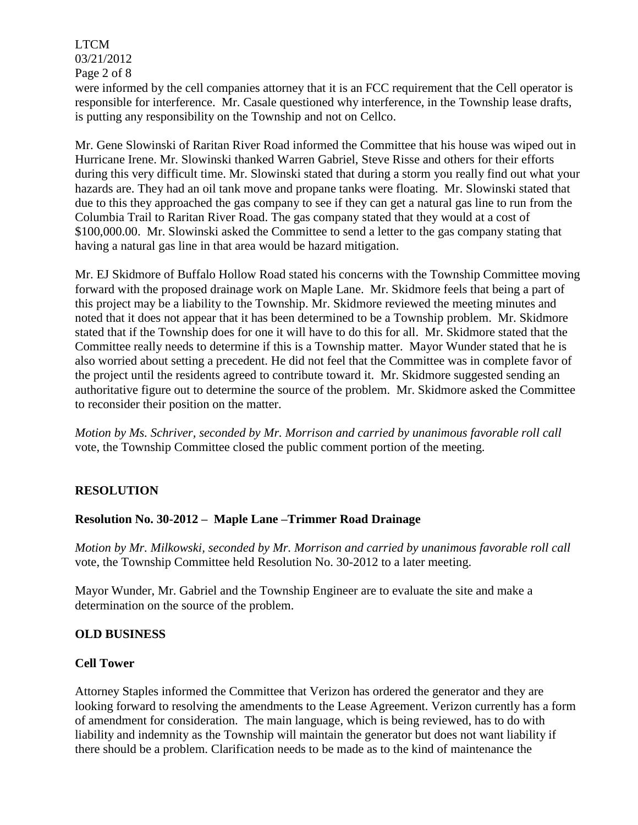LTCM 03/21/2012 Page 2 of 8

were informed by the cell companies attorney that it is an FCC requirement that the Cell operator is responsible for interference. Mr. Casale questioned why interference, in the Township lease drafts, is putting any responsibility on the Township and not on Cellco.

Mr. Gene Slowinski of Raritan River Road informed the Committee that his house was wiped out in Hurricane Irene. Mr. Slowinski thanked Warren Gabriel, Steve Risse and others for their efforts during this very difficult time. Mr. Slowinski stated that during a storm you really find out what your hazards are. They had an oil tank move and propane tanks were floating. Mr. Slowinski stated that due to this they approached the gas company to see if they can get a natural gas line to run from the Columbia Trail to Raritan River Road. The gas company stated that they would at a cost of \$100,000.00. Mr. Slowinski asked the Committee to send a letter to the gas company stating that having a natural gas line in that area would be hazard mitigation.

Mr. EJ Skidmore of Buffalo Hollow Road stated his concerns with the Township Committee moving forward with the proposed drainage work on Maple Lane. Mr. Skidmore feels that being a part of this project may be a liability to the Township. Mr. Skidmore reviewed the meeting minutes and noted that it does not appear that it has been determined to be a Township problem. Mr. Skidmore stated that if the Township does for one it will have to do this for all. Mr. Skidmore stated that the Committee really needs to determine if this is a Township matter. Mayor Wunder stated that he is also worried about setting a precedent. He did not feel that the Committee was in complete favor of the project until the residents agreed to contribute toward it. Mr. Skidmore suggested sending an authoritative figure out to determine the source of the problem. Mr. Skidmore asked the Committee to reconsider their position on the matter.

*Motion by Ms. Schriver, seconded by Mr. Morrison and carried by unanimous favorable roll call*  vote, the Township Committee closed the public comment portion of the meeting.

# **RESOLUTION**

# **Resolution No. 30-2012 – Maple Lane –Trimmer Road Drainage**

*Motion by Mr. Milkowski, seconded by Mr. Morrison and carried by unanimous favorable roll call*  vote, the Township Committee held Resolution No. 30-2012 to a later meeting.

Mayor Wunder, Mr. Gabriel and the Township Engineer are to evaluate the site and make a determination on the source of the problem.

#### **OLD BUSINESS**

#### **Cell Tower**

Attorney Staples informed the Committee that Verizon has ordered the generator and they are looking forward to resolving the amendments to the Lease Agreement. Verizon currently has a form of amendment for consideration. The main language, which is being reviewed, has to do with liability and indemnity as the Township will maintain the generator but does not want liability if there should be a problem. Clarification needs to be made as to the kind of maintenance the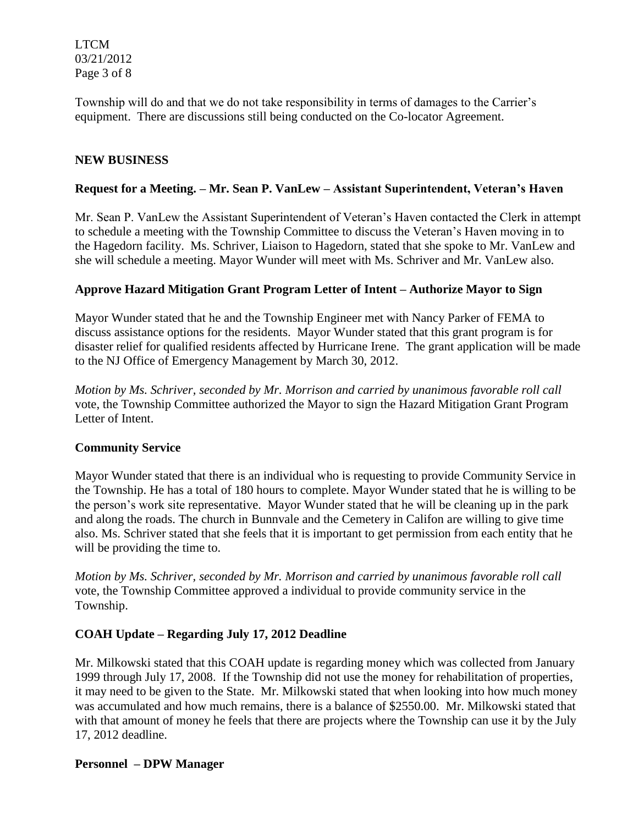LTCM 03/21/2012 Page 3 of 8

Township will do and that we do not take responsibility in terms of damages to the Carrier's equipment. There are discussions still being conducted on the Co-locator Agreement.

#### **NEW BUSINESS**

#### **Request for a Meeting. – Mr. Sean P. VanLew – Assistant Superintendent, Veteran's Haven**

Mr. Sean P. VanLew the Assistant Superintendent of Veteran's Haven contacted the Clerk in attempt to schedule a meeting with the Township Committee to discuss the Veteran's Haven moving in to the Hagedorn facility. Ms. Schriver, Liaison to Hagedorn, stated that she spoke to Mr. VanLew and she will schedule a meeting. Mayor Wunder will meet with Ms. Schriver and Mr. VanLew also.

#### **Approve Hazard Mitigation Grant Program Letter of Intent – Authorize Mayor to Sign**

Mayor Wunder stated that he and the Township Engineer met with Nancy Parker of FEMA to discuss assistance options for the residents. Mayor Wunder stated that this grant program is for disaster relief for qualified residents affected by Hurricane Irene. The grant application will be made to the NJ Office of Emergency Management by March 30, 2012.

*Motion by Ms. Schriver, seconded by Mr. Morrison and carried by unanimous favorable roll call*  vote, the Township Committee authorized the Mayor to sign the Hazard Mitigation Grant Program Letter of Intent.

#### **Community Service**

Mayor Wunder stated that there is an individual who is requesting to provide Community Service in the Township. He has a total of 180 hours to complete. Mayor Wunder stated that he is willing to be the person's work site representative. Mayor Wunder stated that he will be cleaning up in the park and along the roads. The church in Bunnvale and the Cemetery in Califon are willing to give time also. Ms. Schriver stated that she feels that it is important to get permission from each entity that he will be providing the time to.

*Motion by Ms. Schriver, seconded by Mr. Morrison and carried by unanimous favorable roll call* vote, the Township Committee approved a individual to provide community service in the Township.

# **COAH Update – Regarding July 17, 2012 Deadline**

Mr. Milkowski stated that this COAH update is regarding money which was collected from January 1999 through July 17, 2008. If the Township did not use the money for rehabilitation of properties, it may need to be given to the State. Mr. Milkowski stated that when looking into how much money was accumulated and how much remains, there is a balance of \$2550.00. Mr. Milkowski stated that with that amount of money he feels that there are projects where the Township can use it by the July 17, 2012 deadline.

#### **Personnel – DPW Manager**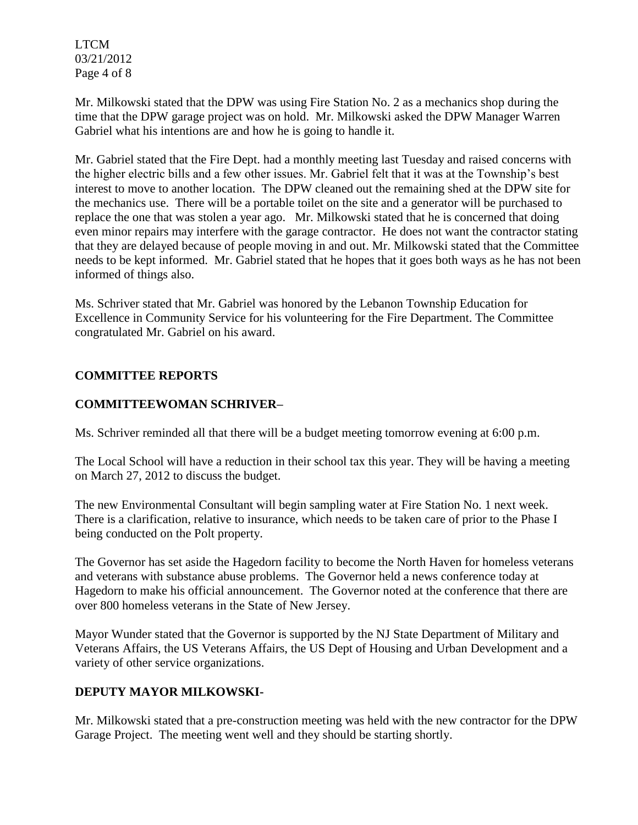LTCM 03/21/2012 Page 4 of 8

Mr. Milkowski stated that the DPW was using Fire Station No. 2 as a mechanics shop during the time that the DPW garage project was on hold. Mr. Milkowski asked the DPW Manager Warren Gabriel what his intentions are and how he is going to handle it.

Mr. Gabriel stated that the Fire Dept. had a monthly meeting last Tuesday and raised concerns with the higher electric bills and a few other issues. Mr. Gabriel felt that it was at the Township's best interest to move to another location. The DPW cleaned out the remaining shed at the DPW site for the mechanics use. There will be a portable toilet on the site and a generator will be purchased to replace the one that was stolen a year ago. Mr. Milkowski stated that he is concerned that doing even minor repairs may interfere with the garage contractor. He does not want the contractor stating that they are delayed because of people moving in and out. Mr. Milkowski stated that the Committee needs to be kept informed. Mr. Gabriel stated that he hopes that it goes both ways as he has not been informed of things also.

Ms. Schriver stated that Mr. Gabriel was honored by the Lebanon Township Education for Excellence in Community Service for his volunteering for the Fire Department. The Committee congratulated Mr. Gabriel on his award.

# **COMMITTEE REPORTS**

# **COMMITTEEWOMAN SCHRIVER–**

Ms. Schriver reminded all that there will be a budget meeting tomorrow evening at 6:00 p.m.

The Local School will have a reduction in their school tax this year. They will be having a meeting on March 27, 2012 to discuss the budget.

The new Environmental Consultant will begin sampling water at Fire Station No. 1 next week. There is a clarification, relative to insurance, which needs to be taken care of prior to the Phase I being conducted on the Polt property.

The Governor has set aside the Hagedorn facility to become the North Haven for homeless veterans and veterans with substance abuse problems. The Governor held a news conference today at Hagedorn to make his official announcement. The Governor noted at the conference that there are over 800 homeless veterans in the State of New Jersey.

Mayor Wunder stated that the Governor is supported by the NJ State Department of Military and Veterans Affairs, the US Veterans Affairs, the US Dept of Housing and Urban Development and a variety of other service organizations.

# **DEPUTY MAYOR MILKOWSKI-**

Mr. Milkowski stated that a pre-construction meeting was held with the new contractor for the DPW Garage Project. The meeting went well and they should be starting shortly.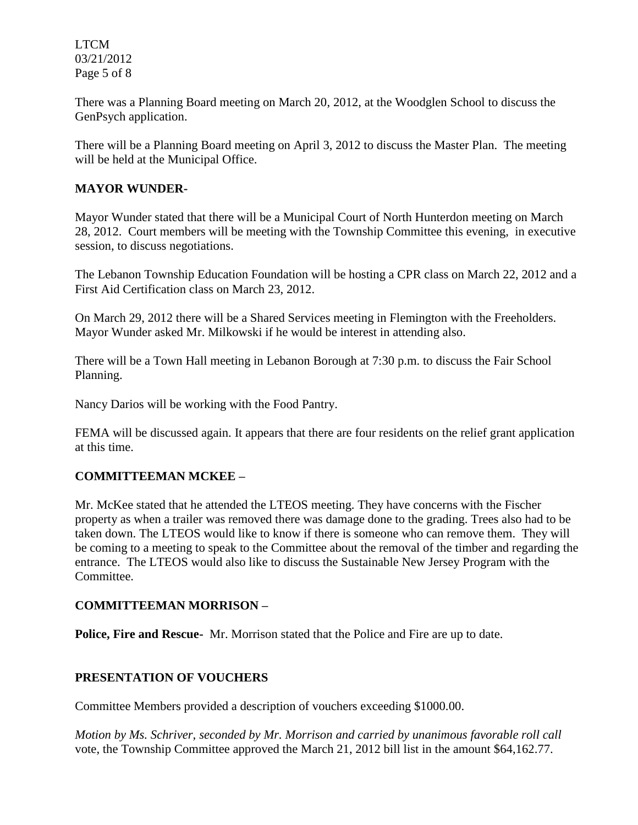LTCM 03/21/2012 Page 5 of 8

There was a Planning Board meeting on March 20, 2012, at the Woodglen School to discuss the GenPsych application.

There will be a Planning Board meeting on April 3, 2012 to discuss the Master Plan. The meeting will be held at the Municipal Office.

### **MAYOR WUNDER-**

Mayor Wunder stated that there will be a Municipal Court of North Hunterdon meeting on March 28, 2012. Court members will be meeting with the Township Committee this evening, in executive session, to discuss negotiations.

The Lebanon Township Education Foundation will be hosting a CPR class on March 22, 2012 and a First Aid Certification class on March 23, 2012.

On March 29, 2012 there will be a Shared Services meeting in Flemington with the Freeholders. Mayor Wunder asked Mr. Milkowski if he would be interest in attending also.

There will be a Town Hall meeting in Lebanon Borough at 7:30 p.m. to discuss the Fair School Planning.

Nancy Darios will be working with the Food Pantry.

FEMA will be discussed again. It appears that there are four residents on the relief grant application at this time.

# **COMMITTEEMAN MCKEE –**

Mr. McKee stated that he attended the LTEOS meeting. They have concerns with the Fischer property as when a trailer was removed there was damage done to the grading. Trees also had to be taken down. The LTEOS would like to know if there is someone who can remove them. They will be coming to a meeting to speak to the Committee about the removal of the timber and regarding the entrance. The LTEOS would also like to discuss the Sustainable New Jersey Program with the Committee.

# **COMMITTEEMAN MORRISON –**

**Police, Fire and Rescue-** Mr. Morrison stated that the Police and Fire are up to date.

# **PRESENTATION OF VOUCHERS**

Committee Members provided a description of vouchers exceeding \$1000.00.

*Motion by Ms. Schriver, seconded by Mr. Morrison and carried by unanimous favorable roll call*  vote, the Township Committee approved the March 21, 2012 bill list in the amount \$64,162.77.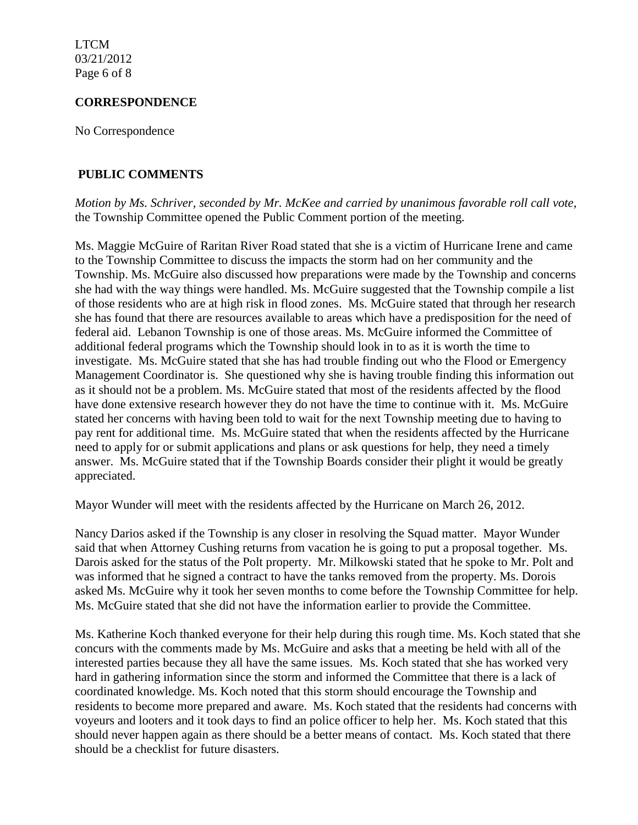LTCM 03/21/2012 Page 6 of 8

#### **CORRESPONDENCE**

No Correspondence

# **PUBLIC COMMENTS**

*Motion by Ms. Schriver, seconded by Mr. McKee and carried by unanimous favorable roll call vote,* the Township Committee opened the Public Comment portion of the meeting.

Ms. Maggie McGuire of Raritan River Road stated that she is a victim of Hurricane Irene and came to the Township Committee to discuss the impacts the storm had on her community and the Township. Ms. McGuire also discussed how preparations were made by the Township and concerns she had with the way things were handled. Ms. McGuire suggested that the Township compile a list of those residents who are at high risk in flood zones. Ms. McGuire stated that through her research she has found that there are resources available to areas which have a predisposition for the need of federal aid. Lebanon Township is one of those areas. Ms. McGuire informed the Committee of additional federal programs which the Township should look in to as it is worth the time to investigate. Ms. McGuire stated that she has had trouble finding out who the Flood or Emergency Management Coordinator is. She questioned why she is having trouble finding this information out as it should not be a problem. Ms. McGuire stated that most of the residents affected by the flood have done extensive research however they do not have the time to continue with it. Ms. McGuire stated her concerns with having been told to wait for the next Township meeting due to having to pay rent for additional time. Ms. McGuire stated that when the residents affected by the Hurricane need to apply for or submit applications and plans or ask questions for help, they need a timely answer. Ms. McGuire stated that if the Township Boards consider their plight it would be greatly appreciated.

Mayor Wunder will meet with the residents affected by the Hurricane on March 26, 2012.

Nancy Darios asked if the Township is any closer in resolving the Squad matter. Mayor Wunder said that when Attorney Cushing returns from vacation he is going to put a proposal together. Ms. Darois asked for the status of the Polt property. Mr. Milkowski stated that he spoke to Mr. Polt and was informed that he signed a contract to have the tanks removed from the property. Ms. Dorois asked Ms. McGuire why it took her seven months to come before the Township Committee for help. Ms. McGuire stated that she did not have the information earlier to provide the Committee.

Ms. Katherine Koch thanked everyone for their help during this rough time. Ms. Koch stated that she concurs with the comments made by Ms. McGuire and asks that a meeting be held with all of the interested parties because they all have the same issues. Ms. Koch stated that she has worked very hard in gathering information since the storm and informed the Committee that there is a lack of coordinated knowledge. Ms. Koch noted that this storm should encourage the Township and residents to become more prepared and aware. Ms. Koch stated that the residents had concerns with voyeurs and looters and it took days to find an police officer to help her. Ms. Koch stated that this should never happen again as there should be a better means of contact. Ms. Koch stated that there should be a checklist for future disasters.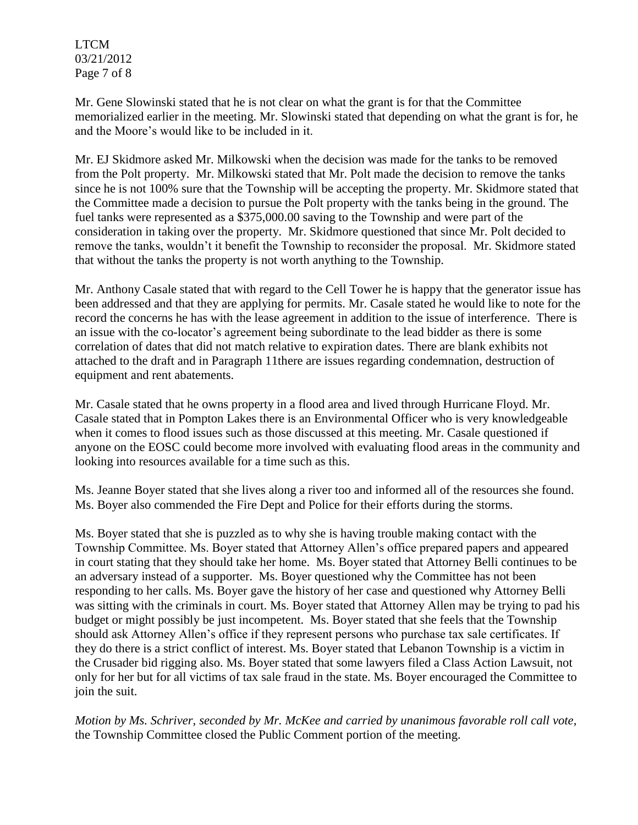LTCM 03/21/2012 Page 7 of 8

Mr. Gene Slowinski stated that he is not clear on what the grant is for that the Committee memorialized earlier in the meeting. Mr. Slowinski stated that depending on what the grant is for, he and the Moore's would like to be included in it.

Mr. EJ Skidmore asked Mr. Milkowski when the decision was made for the tanks to be removed from the Polt property. Mr. Milkowski stated that Mr. Polt made the decision to remove the tanks since he is not 100% sure that the Township will be accepting the property. Mr. Skidmore stated that the Committee made a decision to pursue the Polt property with the tanks being in the ground. The fuel tanks were represented as a \$375,000.00 saving to the Township and were part of the consideration in taking over the property. Mr. Skidmore questioned that since Mr. Polt decided to remove the tanks, wouldn't it benefit the Township to reconsider the proposal. Mr. Skidmore stated that without the tanks the property is not worth anything to the Township.

Mr. Anthony Casale stated that with regard to the Cell Tower he is happy that the generator issue has been addressed and that they are applying for permits. Mr. Casale stated he would like to note for the record the concerns he has with the lease agreement in addition to the issue of interference. There is an issue with the co-locator's agreement being subordinate to the lead bidder as there is some correlation of dates that did not match relative to expiration dates. There are blank exhibits not attached to the draft and in Paragraph 11there are issues regarding condemnation, destruction of equipment and rent abatements.

Mr. Casale stated that he owns property in a flood area and lived through Hurricane Floyd. Mr. Casale stated that in Pompton Lakes there is an Environmental Officer who is very knowledgeable when it comes to flood issues such as those discussed at this meeting. Mr. Casale questioned if anyone on the EOSC could become more involved with evaluating flood areas in the community and looking into resources available for a time such as this.

Ms. Jeanne Boyer stated that she lives along a river too and informed all of the resources she found. Ms. Boyer also commended the Fire Dept and Police for their efforts during the storms.

Ms. Boyer stated that she is puzzled as to why she is having trouble making contact with the Township Committee. Ms. Boyer stated that Attorney Allen's office prepared papers and appeared in court stating that they should take her home. Ms. Boyer stated that Attorney Belli continues to be an adversary instead of a supporter. Ms. Boyer questioned why the Committee has not been responding to her calls. Ms. Boyer gave the history of her case and questioned why Attorney Belli was sitting with the criminals in court. Ms. Boyer stated that Attorney Allen may be trying to pad his budget or might possibly be just incompetent. Ms. Boyer stated that she feels that the Township should ask Attorney Allen's office if they represent persons who purchase tax sale certificates. If they do there is a strict conflict of interest. Ms. Boyer stated that Lebanon Township is a victim in the Crusader bid rigging also. Ms. Boyer stated that some lawyers filed a Class Action Lawsuit, not only for her but for all victims of tax sale fraud in the state. Ms. Boyer encouraged the Committee to join the suit.

*Motion by Ms. Schriver, seconded by Mr. McKee and carried by unanimous favorable roll call vote,* the Township Committee closed the Public Comment portion of the meeting.